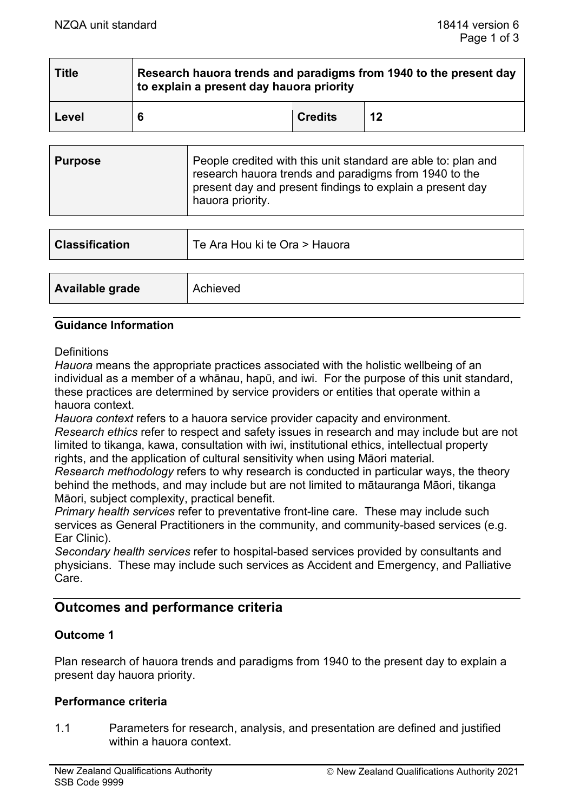| <b>Title</b> | Research hauora trends and paradigms from 1940 to the present day<br>to explain a present day hauora priority |                |    |
|--------------|---------------------------------------------------------------------------------------------------------------|----------------|----|
| Level        | -6                                                                                                            | <b>Credits</b> | 12 |

| present day and present findings to explain a present day<br>hauora priority. | <b>Purpose</b> | People credited with this unit standard are able to: plan and<br>research hauora trends and paradigms from 1940 to the |
|-------------------------------------------------------------------------------|----------------|------------------------------------------------------------------------------------------------------------------------|
|-------------------------------------------------------------------------------|----------------|------------------------------------------------------------------------------------------------------------------------|

| <b>Classification</b> | Te Ara Hou ki te Ora > Hauora |
|-----------------------|-------------------------------|
|                       |                               |
| Available grade       | Achieved                      |

### **Guidance Information**

**Definitions** 

*Hauora* means the appropriate practices associated with the holistic wellbeing of an individual as a member of a whānau, hapū, and iwi. For the purpose of this unit standard, these practices are determined by service providers or entities that operate within a hauora context.

*Hauora context* refers to a hauora service provider capacity and environment. *Research ethics* refer to respect and safety issues in research and may include but are not limited to tikanga, kawa, consultation with iwi, institutional ethics, intellectual property rights, and the application of cultural sensitivity when using Māori material.

*Research methodology* refers to why research is conducted in particular ways, the theory behind the methods, and may include but are not limited to mātauranga Māori, tikanga Māori, subject complexity, practical benefit.

*Primary health services* refer to preventative front-line care. These may include such services as General Practitioners in the community, and community-based services (e.g. Ear Clinic).

*Secondary health services* refer to hospital-based services provided by consultants and physicians. These may include such services as Accident and Emergency, and Palliative Care.

# **Outcomes and performance criteria**

### **Outcome 1**

Plan research of hauora trends and paradigms from 1940 to the present day to explain a present day hauora priority.

### **Performance criteria**

1.1 Parameters for research, analysis, and presentation are defined and justified within a hauora context.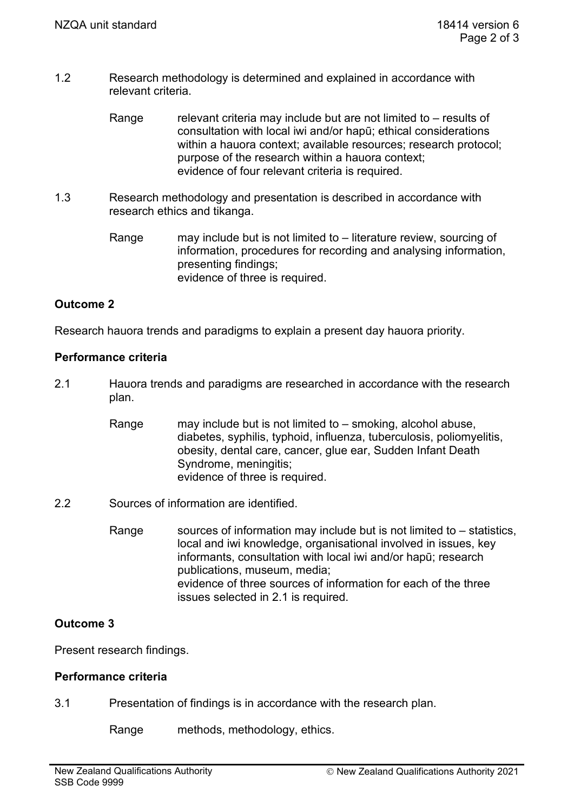- 1.2 Research methodology is determined and explained in accordance with relevant criteria.
	- Range relevant criteria may include but are not limited to  $-$  results of consultation with local iwi and/or hapū; ethical considerations within a hauora context; available resources; research protocol; purpose of the research within a hauora context; evidence of four relevant criteria is required.
- 1.3 Research methodology and presentation is described in accordance with research ethics and tikanga.
	- Range may include but is not limited to literature review, sourcing of information, procedures for recording and analysing information, presenting findings; evidence of three is required.

## **Outcome 2**

Research hauora trends and paradigms to explain a present day hauora priority.

### **Performance criteria**

- 2.1 Hauora trends and paradigms are researched in accordance with the research plan.
	- Range may include but is not limited to smoking, alcohol abuse, diabetes, syphilis, typhoid, influenza, tuberculosis, poliomyelitis, obesity, dental care, cancer, glue ear, Sudden Infant Death Syndrome, meningitis; evidence of three is required.
- 2.2 Sources of information are identified.
	- Range sources of information may include but is not limited to  $-$  statistics, local and iwi knowledge, organisational involved in issues, key informants, consultation with local iwi and/or hapū; research publications, museum, media; evidence of three sources of information for each of the three issues selected in 2.1 is required.

### **Outcome 3**

Present research findings.

### **Performance criteria**

3.1 Presentation of findings is in accordance with the research plan.

Range methods, methodology, ethics.